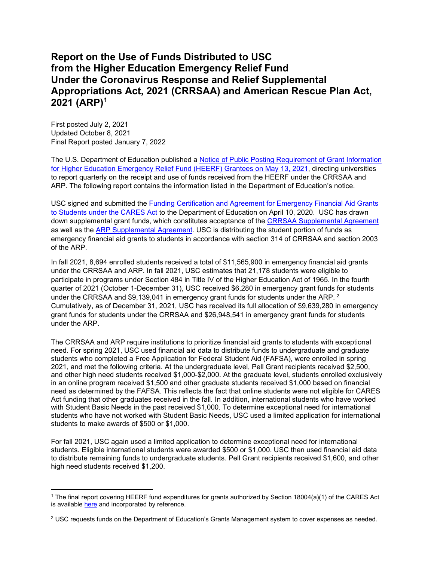## **Report on the Use of Funds Distributed to USC from the Higher Education Emergency Relief Fund Under the Coronavirus Response and Relief Supplemental Appropriations Act, 2021 (CRRSAA) and American Rescue Plan Act, 2021 (ARP[\)1](#page-0-0)**

First posted July 2, 2021 Updated October 8, 2021 Final Report posted January 7, 2022

The U.S. Department of Education published a **Notice of Public Posting Requirement of Grant Information** for Higher Education Emergency Relief [Fund \(HEERF\) Grantees on May 13, 2021,](https://www.federalregister.gov/documents/2021/05/13/2021-10196/notice-of-public-posting-requirement-of-grant-information-for-higher-education-emergency-relief-fund) directing universities to report quarterly on the receipt and use of funds received from the HEERF under the CRRSAA and ARP. The following report contains the information listed in the Department of Education's notice.

USC signed and submitted the Funding Certification and Agreement [for Emergency Financial Aid Grants](https://www2.ed.gov/about/offices/list/ope/heerfstudentscertificationagreement42020a.pdf)  [to Students under the CARES Act](https://www2.ed.gov/about/offices/list/ope/heerfstudentscertificationagreement42020a.pdf) to the Department of Education on April 10, 2020. USC has drawn down supplemental grant funds, which constitutes acceptance of the [CRRSAA Supplemental Agreement](https://www2.ed.gov/about/offices/list/ope/supplementalagreement314a1s.pdf) as well as the [ARP Supplemental Agreement.](https://www2.ed.gov/about/offices/list/ope/arpheerfiiisupplementa1student.pdf) USC is distributing the student portion of funds as emergency financial aid grants to students in accordance with section 314 of CRRSAA and section 2003 of the ARP.

In fall 2021, 8,694 enrolled students received a total of \$11,565,900 in emergency financial aid grants under the CRRSAA and ARP. In fall 2021, USC estimates that 21,178 students were eligible to participate in programs under Section 484 in Title IV of the Higher Education Act of 1965. In the fourth quarter of 2021 (October 1-December 31), USC received \$6,280 in emergency grant funds for students under the CRRSAA and \$9,139,041 in emergency grant funds for students under the ARP, <sup>[2](#page-0-1)</sup> Cumulatively, as of December 31, 2021, USC has received its full allocation of \$9,639,280 in emergency grant funds for students under the CRRSAA and \$26,948,541 in emergency grant funds for students under the ARP.

The CRRSAA and ARP require institutions to prioritize financial aid grants to students with exceptional need. For spring 2021, USC used financial aid data to distribute funds to undergraduate and graduate students who completed a Free Application for Federal Student Aid (FAFSA), were enrolled in spring 2021, and met the following criteria. At the undergraduate level, Pell Grant recipients received \$2,500, and other high need students received \$1,000-\$2,000. At the graduate level, students enrolled exclusively in an online program received \$1,500 and other graduate students received \$1,000 based on financial need as determined by the FAFSA. This reflects the fact that online students were not eligible for CARES Act funding that other graduates received in the fall. In addition, international students who have worked with Student Basic Needs in the past received \$1,000. To determine exceptional need for international students who have not worked with Student Basic Needs, USC used a limited application for international students to make awards of \$500 or \$1,000.

For fall 2021, USC again used a limited application to determine exceptional need for international students. Eligible international students were awarded \$500 or \$1,000. USC then used financial aid data to distribute remaining funds to undergraduate students. Pell Grant recipients received \$1,600, and other high need students received \$1,200.

<span id="page-0-0"></span><sup>1</sup> The final report covering HEERF fund expenditures for grants authorized by Section 18004(a)(1) of the CARES Act is available [here](https://we-are.usc.edu/wp-content/uploads/2021/04/CARES-Act-Quarterly-Report-April-2021-FINAL.pdf) and incorporated by reference.

<span id="page-0-1"></span><sup>&</sup>lt;sup>2</sup> USC requests funds on the Department of Education's Grants Management system to cover expenses as needed.